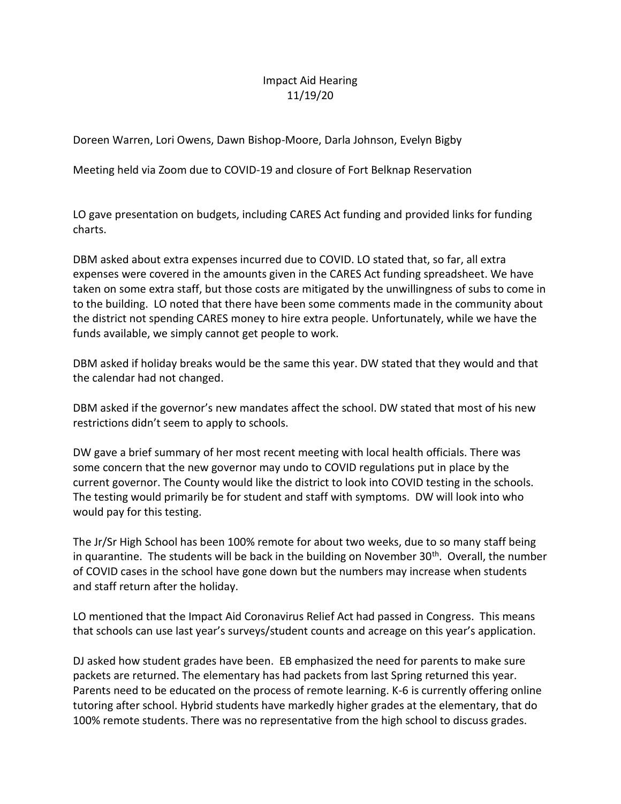## Impact Aid Hearing 11/19/20

Doreen Warren, Lori Owens, Dawn Bishop-Moore, Darla Johnson, Evelyn Bigby

Meeting held via Zoom due to COVID-19 and closure of Fort Belknap Reservation

LO gave presentation on budgets, including CARES Act funding and provided links for funding charts.

DBM asked about extra expenses incurred due to COVID. LO stated that, so far, all extra expenses were covered in the amounts given in the CARES Act funding spreadsheet. We have taken on some extra staff, but those costs are mitigated by the unwillingness of subs to come in to the building. LO noted that there have been some comments made in the community about the district not spending CARES money to hire extra people. Unfortunately, while we have the funds available, we simply cannot get people to work.

DBM asked if holiday breaks would be the same this year. DW stated that they would and that the calendar had not changed.

DBM asked if the governor's new mandates affect the school. DW stated that most of his new restrictions didn't seem to apply to schools.

DW gave a brief summary of her most recent meeting with local health officials. There was some concern that the new governor may undo to COVID regulations put in place by the current governor. The County would like the district to look into COVID testing in the schools. The testing would primarily be for student and staff with symptoms. DW will look into who would pay for this testing.

The Jr/Sr High School has been 100% remote for about two weeks, due to so many staff being in quarantine. The students will be back in the building on November  $30<sup>th</sup>$ . Overall, the number of COVID cases in the school have gone down but the numbers may increase when students and staff return after the holiday.

LO mentioned that the Impact Aid Coronavirus Relief Act had passed in Congress. This means that schools can use last year's surveys/student counts and acreage on this year's application.

DJ asked how student grades have been. EB emphasized the need for parents to make sure packets are returned. The elementary has had packets from last Spring returned this year. Parents need to be educated on the process of remote learning. K-6 is currently offering online tutoring after school. Hybrid students have markedly higher grades at the elementary, that do 100% remote students. There was no representative from the high school to discuss grades.